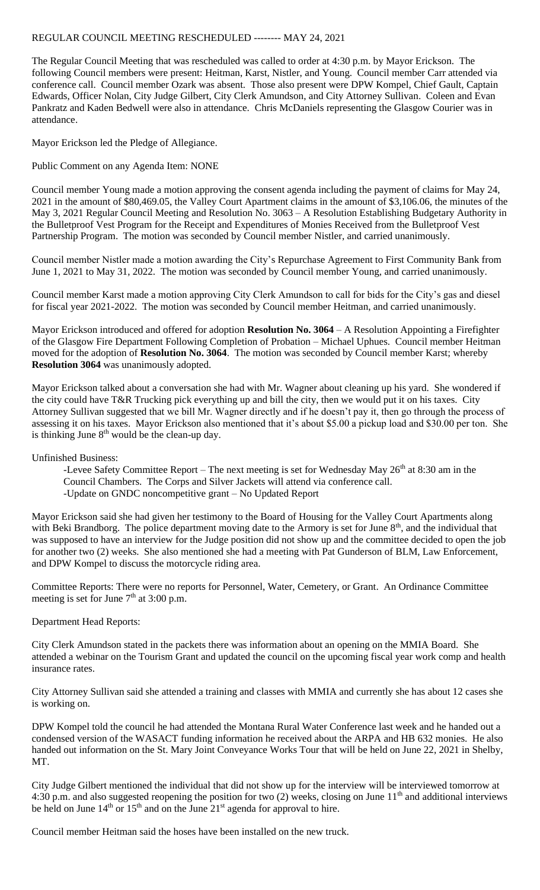## REGULAR COUNCIL MEETING RESCHEDULED -------- MAY 24, 2021

The Regular Council Meeting that was rescheduled was called to order at 4:30 p.m. by Mayor Erickson. The following Council members were present: Heitman, Karst, Nistler, and Young. Council member Carr attended via conference call. Council member Ozark was absent. Those also present were DPW Kompel, Chief Gault, Captain Edwards, Officer Nolan, City Judge Gilbert, City Clerk Amundson, and City Attorney Sullivan. Coleen and Evan Pankratz and Kaden Bedwell were also in attendance. Chris McDaniels representing the Glasgow Courier was in attendance.

Mayor Erickson led the Pledge of Allegiance.

Public Comment on any Agenda Item: NONE

Council member Young made a motion approving the consent agenda including the payment of claims for May 24, 2021 in the amount of \$80,469.05, the Valley Court Apartment claims in the amount of \$3,106.06, the minutes of the May 3, 2021 Regular Council Meeting and Resolution No. 3063 – A Resolution Establishing Budgetary Authority in the Bulletproof Vest Program for the Receipt and Expenditures of Monies Received from the Bulletproof Vest Partnership Program. The motion was seconded by Council member Nistler, and carried unanimously.

Council member Nistler made a motion awarding the City's Repurchase Agreement to First Community Bank from June 1, 2021 to May 31, 2022. The motion was seconded by Council member Young, and carried unanimously.

Council member Karst made a motion approving City Clerk Amundson to call for bids for the City's gas and diesel for fiscal year 2021-2022. The motion was seconded by Council member Heitman, and carried unanimously.

Mayor Erickson introduced and offered for adoption **Resolution No. 3064** – A Resolution Appointing a Firefighter of the Glasgow Fire Department Following Completion of Probation – Michael Uphues. Council member Heitman moved for the adoption of **Resolution No. 3064**. The motion was seconded by Council member Karst; whereby **Resolution 3064** was unanimously adopted.

Mayor Erickson talked about a conversation she had with Mr. Wagner about cleaning up his yard. She wondered if the city could have T&R Trucking pick everything up and bill the city, then we would put it on his taxes. City Attorney Sullivan suggested that we bill Mr. Wagner directly and if he doesn't pay it, then go through the process of assessing it on his taxes. Mayor Erickson also mentioned that it's about \$5.00 a pickup load and \$30.00 per ton. She is thinking June  $8<sup>th</sup>$  would be the clean-up day.

Unfinished Business:

- -Levee Safety Committee Report The next meeting is set for Wednesday May 26<sup>th</sup> at 8:30 am in the Council Chambers. The Corps and Silver Jackets will attend via conference call.
- -Update on GNDC noncompetitive grant No Updated Report

Mayor Erickson said she had given her testimony to the Board of Housing for the Valley Court Apartments along with Beki Brandborg. The police department moving date to the Armory is set for June  $8<sup>th</sup>$ , and the individual that was supposed to have an interview for the Judge position did not show up and the committee decided to open the job for another two (2) weeks. She also mentioned she had a meeting with Pat Gunderson of BLM, Law Enforcement, and DPW Kompel to discuss the motorcycle riding area.

Committee Reports: There were no reports for Personnel, Water, Cemetery, or Grant. An Ordinance Committee meeting is set for June  $7<sup>th</sup>$  at 3:00 p.m.

## Department Head Reports:

City Clerk Amundson stated in the packets there was information about an opening on the MMIA Board. She attended a webinar on the Tourism Grant and updated the council on the upcoming fiscal year work comp and health insurance rates.

City Attorney Sullivan said she attended a training and classes with MMIA and currently she has about 12 cases she is working on.

DPW Kompel told the council he had attended the Montana Rural Water Conference last week and he handed out a condensed version of the WASACT funding information he received about the ARPA and HB 632 monies. He also handed out information on the St. Mary Joint Conveyance Works Tour that will be held on June 22, 2021 in Shelby, MT.

City Judge Gilbert mentioned the individual that did not show up for the interview will be interviewed tomorrow at 4:30 p.m. and also suggested reopening the position for two  $(2)$  weeks, closing on June  $11<sup>th</sup>$  and additional interviews be held on June  $14<sup>th</sup>$  or  $15<sup>th</sup>$  and on the June  $21<sup>st</sup>$  agenda for approval to hire.

Council member Heitman said the hoses have been installed on the new truck.